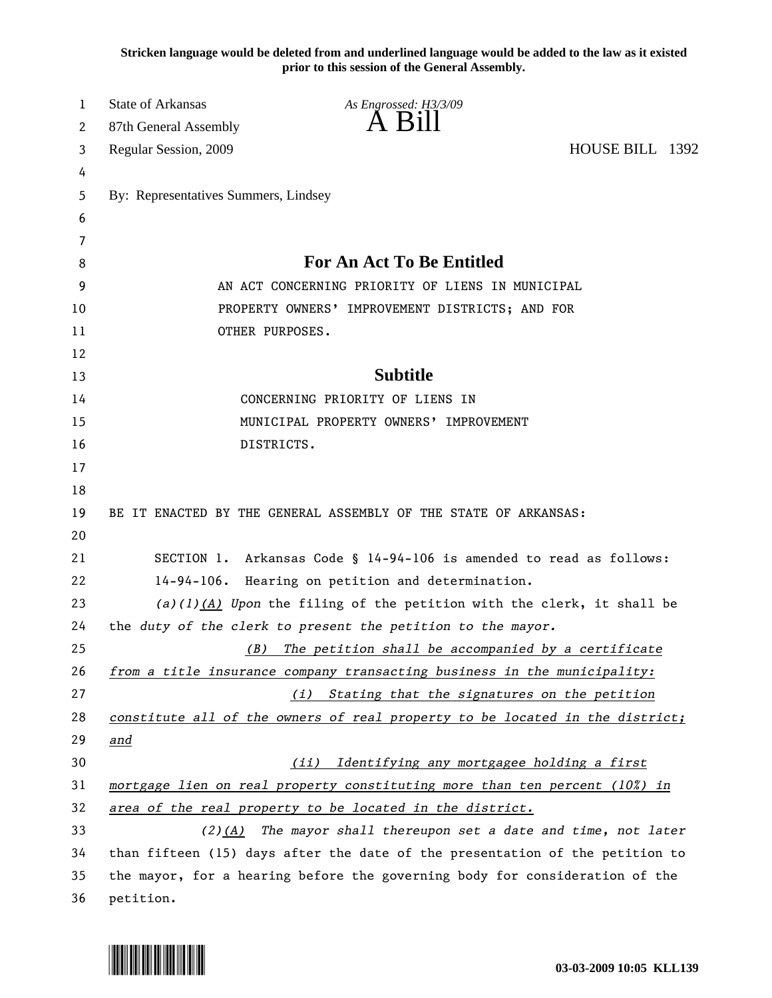**Stricken language would be deleted from and underlined language would be added to the law as it existed prior to this session of the General Assembly.**

| 1        | <b>State of Arkansas</b>                                                     | As Engrossed: H3/3/09                                                        |                 |
|----------|------------------------------------------------------------------------------|------------------------------------------------------------------------------|-----------------|
| 2        | 87th General Assembly                                                        | $\overline{A}$ $\overline{B}1$                                               |                 |
| 3        | Regular Session, 2009                                                        |                                                                              | HOUSE BILL 1392 |
| 4        |                                                                              |                                                                              |                 |
| 5        | By: Representatives Summers, Lindsey                                         |                                                                              |                 |
| 6        |                                                                              |                                                                              |                 |
| 7        |                                                                              |                                                                              |                 |
| 8        | For An Act To Be Entitled                                                    |                                                                              |                 |
| 9        | AN ACT CONCERNING PRIORITY OF LIENS IN MUNICIPAL                             |                                                                              |                 |
| 10       | PROPERTY OWNERS' IMPROVEMENT DISTRICTS; AND FOR                              |                                                                              |                 |
| 11       | OTHER PURPOSES.                                                              |                                                                              |                 |
| 12       |                                                                              |                                                                              |                 |
| 13       |                                                                              | <b>Subtitle</b>                                                              |                 |
| 14       | CONCERNING PRIORITY OF LIENS IN<br>MUNICIPAL PROPERTY OWNERS' IMPROVEMENT    |                                                                              |                 |
| 15       |                                                                              |                                                                              |                 |
| 16<br>17 | DISTRICTS.                                                                   |                                                                              |                 |
| 18       |                                                                              |                                                                              |                 |
| 19       |                                                                              | BE IT ENACTED BY THE GENERAL ASSEMBLY OF THE STATE OF ARKANSAS:              |                 |
| 20       |                                                                              |                                                                              |                 |
| 21       |                                                                              | SECTION 1. Arkansas Code § 14-94-106 is amended to read as follows:          |                 |
| 22       | $14 - 94 - 106$ .                                                            | Hearing on petition and determination.                                       |                 |
| 23       | $(a)(1)(A)$ Upon the filing of the petition with the clerk, it shall be      |                                                                              |                 |
| 24       |                                                                              | the duty of the clerk to present the petition to the mayor.                  |                 |
| 25       | (B)                                                                          | The petition shall be accompanied by a certificate                           |                 |
| 26       |                                                                              | from a title insurance company transacting business in the municipality:     |                 |
| 27       |                                                                              | Stating that the signatures on the petition<br>(i)                           |                 |
| 28       |                                                                              | constitute all of the owners of real property to be located in the district; |                 |
| 29       | and                                                                          |                                                                              |                 |
| 30       |                                                                              | Identifying any mortgagee holding a first<br>(iii)                           |                 |
| 31       | mortgage lien on real property constituting more than ten percent (10%) in   |                                                                              |                 |
| 32       | area of the real property to be located in the district.                     |                                                                              |                 |
| 33       | $(2)(A)$ The mayor shall thereupon set a date and time, not later            |                                                                              |                 |
| 34       | than fifteen (15) days after the date of the presentation of the petition to |                                                                              |                 |
| 35       | the mayor, for a hearing before the governing body for consideration of the  |                                                                              |                 |
| 36       | petition.                                                                    |                                                                              |                 |

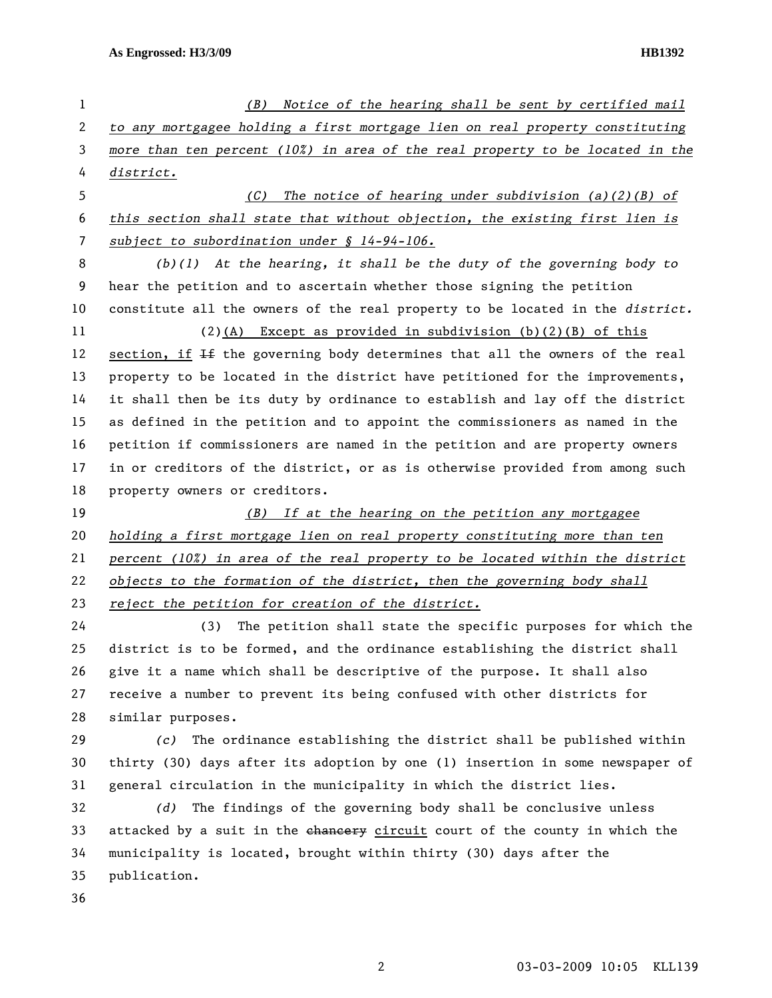| $\mathbf{1}$ | (B) Notice of the hearing shall be sent by certified mail                     |  |
|--------------|-------------------------------------------------------------------------------|--|
| 2            | to any mortgagee holding a first mortgage lien on real property constituting  |  |
| 3            | more than ten percent (10%) in area of the real property to be located in the |  |
| 4            | district.                                                                     |  |
| 5            | The notice of hearing under subdivision $(a)(2)(B)$ of<br>(C)                 |  |
| 6            | this section shall state that without objection, the existing first lien is   |  |
| 7            | subject to subordination under $$14-94-106$ .                                 |  |
| 8            | $(b)(1)$ At the hearing, it shall be the duty of the governing body to        |  |
| 9            | hear the petition and to ascertain whether those signing the petition         |  |
| 10           | constitute all the owners of the real property to be located in the district. |  |
| 11           | $(2)(A)$ Except as provided in subdivision $(b)(2)(B)$ of this                |  |
| 12           | section, if If the governing body determines that all the owners of the real  |  |
| 13           | property to be located in the district have petitioned for the improvements,  |  |
| 14           | it shall then be its duty by ordinance to establish and lay off the district  |  |
| 15           | as defined in the petition and to appoint the commissioners as named in the   |  |
| 16           | petition if commissioners are named in the petition and are property owners   |  |
| 17           | in or creditors of the district, or as is otherwise provided from among such  |  |
| 18           | property owners or creditors.                                                 |  |
| 19           | (B) If at the hearing on the petition any mortgagee                           |  |
| 20           | holding a first mortgage lien on real property constituting more than ten     |  |
| 21           | percent (10%) in area of the real property to be located within the district  |  |
| 22           | objects to the formation of the district, then the governing body shall       |  |
| 23           | reject the petition for creation of the district.                             |  |
| 24           | The petition shall state the specific purposes for which the<br>(3)           |  |
| 25           | district is to be formed, and the ordinance establishing the district shall   |  |
| 26           | give it a name which shall be descriptive of the purpose. It shall also       |  |
| 27           | receive a number to prevent its being confused with other districts for       |  |
| 28           | similar purposes.                                                             |  |
| 29           | The ordinance establishing the district shall be published within<br>(c)      |  |
| 30           | thirty (30) days after its adoption by one (1) insertion in some newspaper of |  |

31 general circulation in the municipality in which the district lies.

32 *(d)* The findings of the governing body shall be conclusive unless 33 attacked by a suit in the chancery circuit court of the county in which the 34 municipality is located, brought within thirty (30) days after the 35 publication.

36